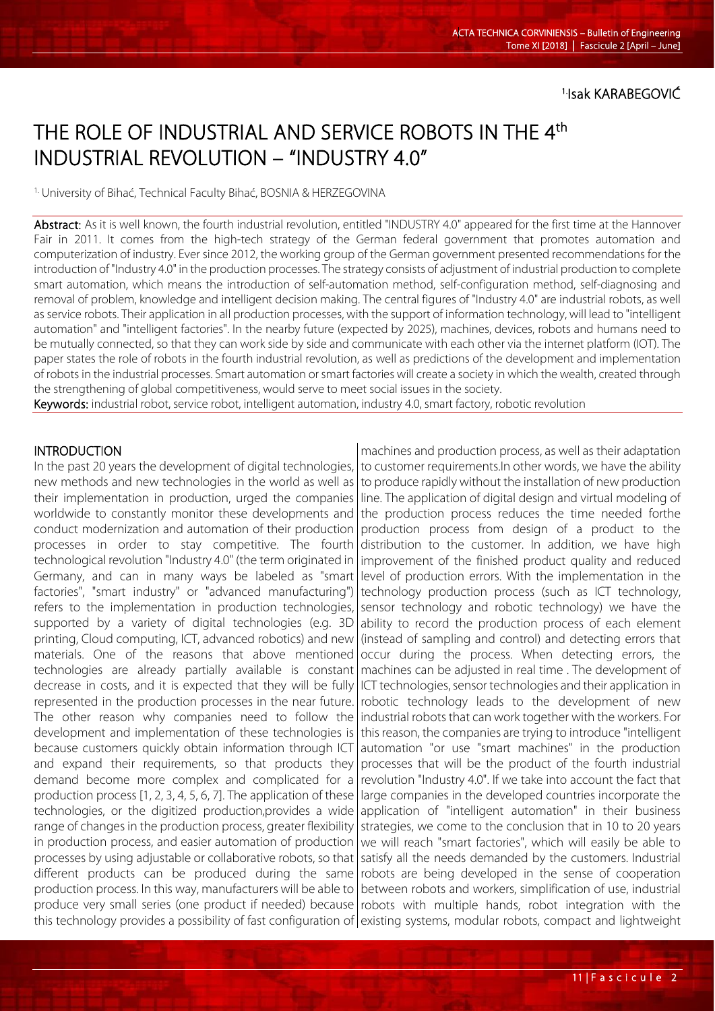1.Isak KARABEGOVIĆ

# THE ROLE OF INDUSTRIAL AND SERVICE ROBOTS IN THE 4<sup>th</sup> INDUSTRIAL REVOLUTION – "INDUSTRY 4.0"

1. University of Bihać, Technical Faculty Bihać, BOSNIA & HERZEGOVINA

Abstract: As it is well known, the fourth industrial revolution, entitled "INDUSTRY 4.0" appeared for the first time at the Hannover Fair in 2011. It comes from the high-tech strategy of the German federal government that promotes automation and computerization of industry. Ever since 2012, the working group of the German government presented recommendations for the introduction of "Industry 4.0" in the production processes. The strategy consists of adjustment of industrial production to complete smart automation, which means the introduction of self-automation method, self-configuration method, self-diagnosing and removal of problem, knowledge and intelligent decision making. The central figures of "Industry 4.0" are industrial robots, as well as service robots. Their application in all production processes, with the support of information technology, will lead to "intelligent automation" and "intelligent factories". In the nearby future (expected by 2025), machines, devices, robots and humans need to be mutually connected, so that they can work side by side and communicate with each other via the internet platform (IOT). The paper states the role of robots in the fourth industrial revolution, as well as predictions of the development and implementation of robots in the industrial processes. Smart automation or smart factories will create a society in which the wealth, created through the strengthening of global competitiveness, would serve to meet social issues in the society.

Keywords: industrial robot, service robot, intelligent automation, industry 4.0, smart factory, robotic revolution

### **INTRODUCTION**

l

In the past 20 years the development of digital technologies, new methods and new technologies in the world as well as their implementation in production, urged the companies worldwide to constantly monitor these developments and conduct modernization and automation of their production processes in order to stay competitive. The fourth technological revolution "Industry 4.0" (the term originated in Germany, and can in many ways be labeled as "smart factories", "smart industry" or "advanced manufacturing") refers to the implementation in production technologies, supported by a variety of digital technologies (e.g. 3D printing, Cloud computing, ICT, advanced robotics) and new materials. One of the reasons that above mentioned technologies are already partially available is constant decrease in costs, and it is expected that they will be fully represented in the production processes in the near future. The other reason why companies need to follow the development and implementation of these technologies is because customers quickly obtain information through ICT and expand their requirements, so that products they demand become more complex and complicated for a production process [1, 2, 3, 4, 5, 6, 7]. The application of these technologies, or the digitized production,provides a wide range of changes in the production process, greater flexibility in production process, and easier automation of production processes by using adjustable or collaborative robots, so that different products can be produced during the same production process. In this way, manufacturers will be able to produce very small series (one product if needed) because this technology provides a possibility of fast configuration of existing systems, modular robots, compact and lightweight

machines and production process, as well as their adaptation to customer requirements.In other words, we have the ability to produce rapidly without the installation of new production line. The application of digital design and virtual modeling of the production process reduces the time needed forthe production process from design of a product to the distribution to the customer. In addition, we have high improvement of the finished product quality and reduced level of production errors. With the implementation in the technology production process (such as ICT technology, sensor technology and robotic technology) we have the ability to record the production process of each element (instead of sampling and control) and detecting errors that occur during the process. When detecting errors, the machines can be adjusted in real time . The development of ICT technologies, sensor technologies and their application in robotic technology leads to the development of new industrial robots that can work together with the workers. For this reason, the companies are trying to introduce "intelligent automation "or use "smart machines" in the production processes that will be the product of the fourth industrial revolution "Industry 4.0". If we take into account the fact that large companies in the developed countries incorporate the application of "intelligent automation" in their business strategies, we come to the conclusion that in 10 to 20 years we will reach "smart factories", which will easily be able to satisfy all the needs demanded by the customers. Industrial robots are being developed in the sense of cooperation between robots and workers, simplification of use, industrial robots with multiple hands, robot integration with the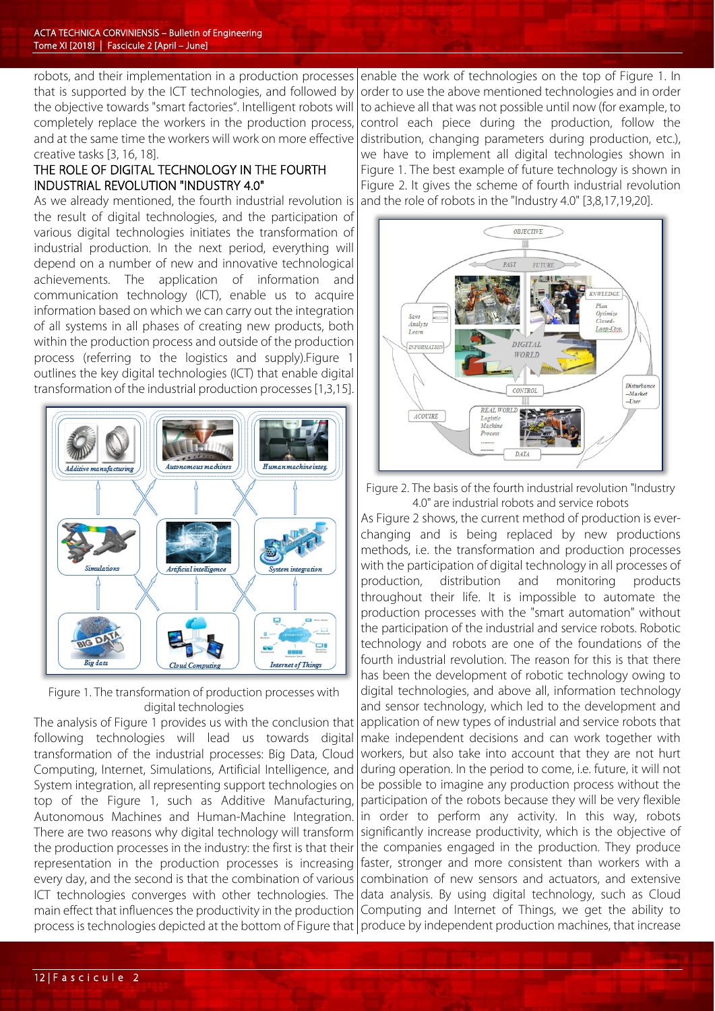robots, and their implementation in a production processes that is supported by the ICT technologies, and followed by the objective towards "smart factories". Intelligent robots will completely replace the workers in the production process, and at the same time the workers will work on more effective creative tasks [3, 16, 18].

# THE ROLE OF DIGITAL TECHNOLOGY IN THE FOURTH INDUSTRIAL REVOLUTION "INDUSTRY 4.0"

As we already mentioned, the fourth industrial revolution is the result of digital technologies, and the participation of various digital technologies initiates the transformation of industrial production. In the next period, everything will depend on a number of new and innovative technological achievements. The application of information and communication technology (ICT), enable us to acquire information based on which we can carry out the integration of all systems in all phases of creating new products, both within the production process and outside of the production process (referring to the logistics and supply).Figure 1 outlines the key digital technologies (ICT) that enable digital transformation of the industrial production processes [1,3,15].



Figure 1. The transformation of production processes with digital technologies

The analysis of Figure 1 provides us with the conclusion that following technologies will lead us towards digital transformation of the industrial processes: Big Data, Cloud Computing, Internet, Simulations, Artificial Intelligence, and System integration, all representing support technologies on top of the Figure 1, such as Additive Manufacturing, Autonomous Machines and Human-Machine Integration. There are two reasons why digital technology will transform the production processes in the industry: the first is that their representation in the production processes is increasing every day, and the second is that the combination of various ICT technologies converges with other technologies. The main effect that influences the productivity in the production process is technologies depicted at the bottom of Figure that | produce by independent production machines, that increase

enable the work of technologies on the top of Figure 1. In order to use the above mentioned technologies and in order to achieve all that was not possible until now (for example, to control each piece during the production, follow the distribution, changing parameters during production, etc.), we have to implement all digital technologies shown in Figure 1. The best example of future technology is shown in Figure 2. It gives the scheme of fourth industrial revolution and the role of robots in the "Industry 4.0" [3,8,17,19,20].



Figure 2. The basis of the fourth industrial revolution "Industry 4.0" are industrial robots and service robots

As Figure 2 shows, the current method of production is everchanging and is being replaced by new productions methods, i.e. the transformation and production processes with the participation of digital technology in all processes of production, distribution and monitoring products throughout their life. It is impossible to automate the production processes with the "smart automation" without the participation of the industrial and service robots. Robotic technology and robots are one of the foundations of the fourth industrial revolution. The reason for this is that there has been the development of robotic technology owing to digital technologies, and above all, information technology and sensor technology, which led to the development and application of new types of industrial and service robots that make independent decisions and can work together with workers, but also take into account that they are not hurt during operation. In the period to come, i.e. future, it will not be possible to imagine any production process without the participation of the robots because they will be very flexible in order to perform any activity. In this way, robots significantly increase productivity, which is the objective of the companies engaged in the production. They produce faster, stronger and more consistent than workers with a combination of new sensors and actuators, and extensive data analysis. By using digital technology, such as Cloud Computing and Internet of Things, we get the ability to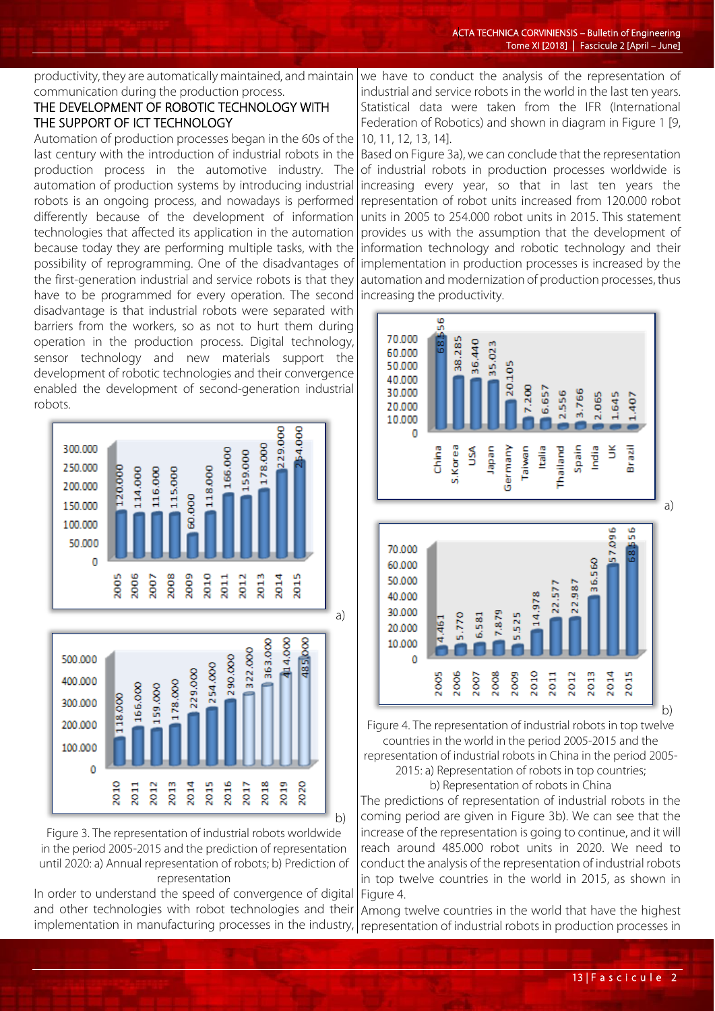productivity, they are automatically maintained, and maintain communication during the production process. we have to conduct the analysis of the representation of

## THE DEVELOPMENT OF ROBOTIC TECHNOLOGY WITH THE SUPPORT OF ICT TECHNOLOGY

Automation of production processes began in the 60s of the last century with the introduction of industrial robots in the production process in the automotive industry. The automation of production systems by introducing industrial robots is an ongoing process, and nowadays is performed differently because of the development of information technologies that affected its application in the automation because today they are performing multiple tasks, with the possibility of reprogramming. One of the disadvantages of the first-generation industrial and service robots is that they have to be programmed for every operation. The second disadvantage is that industrial robots were separated with barriers from the workers, so as not to hurt them during operation in the production process. Digital technology, sensor technology and new materials support the development of robotic technologies and their convergence enabled the development of second-generation industrial robots.



Figure 3. The representation of industrial robots worldwide in the period 2005-2015 and the prediction of representation until 2020: a) Annual representation of robots; b) Prediction of representation

In order to understand the speed of convergence of digital and other technologies with robot technologies and their

industrial and service robots in the world in the last ten years. Statistical data were taken from the IFR (International Federation of Robotics) and shown in diagram in Figure 1 [9, 10, 11, 12, 13, 14].

Based on Figure 3a), we can conclude that the representation of industrial robots in production processes worldwide is increasing every year, so that in last ten years the representation of robot units increased from 120.000 robot units in 2005 to 254.000 robot units in 2015. This statement provides us with the assumption that the development of information technology and robotic technology and their implementation in production processes is increased by the automation and modernization of production processes, thus increasing the productivity.



countries in the world in the period 2005-2015 and the representation of industrial robots in China in the period 2005- 2015: a) Representation of robots in top countries;

b) Representation of robots in China

The predictions of representation of industrial robots in the coming period are given in Figure 3b). We can see that the increase of the representation is going to continue, and it will reach around 485.000 robot units in 2020. We need to conduct the analysis of the representation of industrial robots in top twelve countries in the world in 2015, as shown in Figure 4.

implementation in manufacturing processes in the industry, representation of industrial robots in production processes in Among twelve countries in the world that have the highest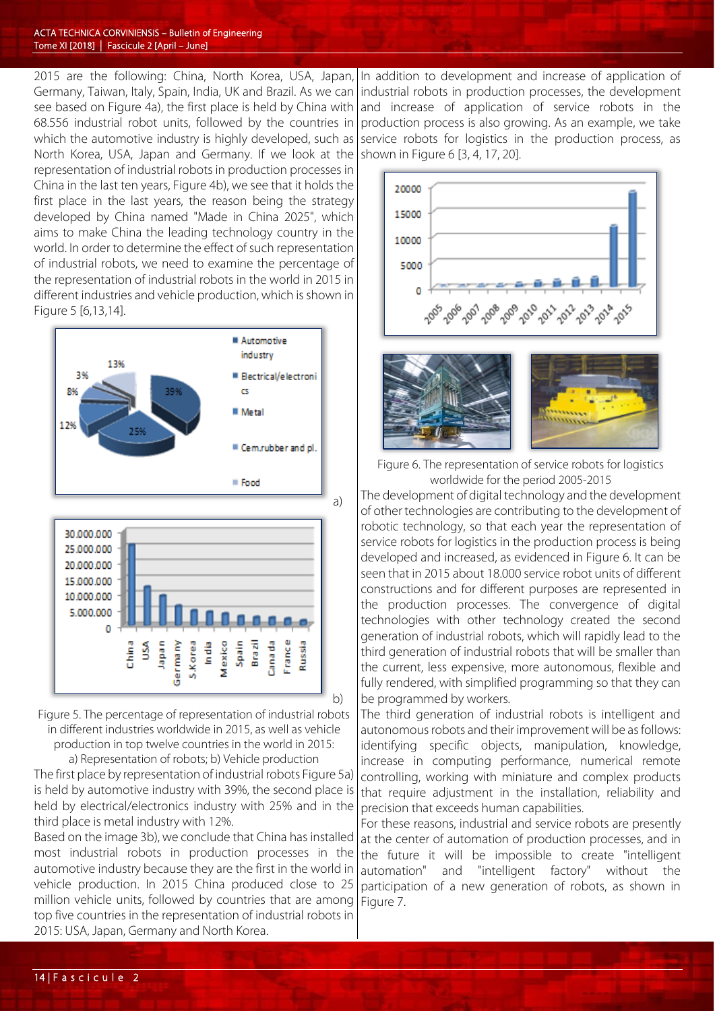2015 are the following: China, North Korea, USA, Japan, Germany, Taiwan, Italy, Spain, India, UK and Brazil. As we can see based on Figure 4a), the first place is held by China with 68.556 industrial robot units, followed by the countries in which the automotive industry is highly developed, such as North Korea, USA, Japan and Germany. If we look at the representation of industrial robots in production processes in China in the last ten years, Figure 4b), we see that it holds the first place in the last years, the reason being the strategy developed by China named "Made in China 2025", which aims to make China the leading technology country in the world. In order to determine the effect of such representation of industrial robots, we need to examine the percentage of the representation of industrial robots in the world in 2015 in different industries and vehicle production, which is shown in Figure 5 [6,13,14].





Figure 5. The percentage of representation of industrial robots in different industries worldwide in 2015, as well as vehicle production in top twelve countries in the world in 2015: a) Representation of robots; b) Vehicle production

The first place by representation of industrial robots Figure 5a) is held by automotive industry with 39%, the second place is held by electrical/electronics industry with 25% and in the third place is metal industry with 12%.

Based on the image 3b), we conclude that China has installed most industrial robots in production processes in the automotive industry because they are the first in the world in vehicle production. In 2015 China produced close to 25 million vehicle units, followed by countries that are among top five countries in the representation of industrial robots in 2015: USA, Japan, Germany and North Korea.

In addition to development and increase of application of industrial robots in production processes, the development and increase of application of service robots in the production process is also growing. As an example, we take service robots for logistics in the production process, as shown in Figure 6 [3, 4, 17, 20].





Figure 6. The representation of service robots for logistics worldwide for the period 2005-2015

The development of digital technology and the development of other technologies are contributing to the development of robotic technology, so that each year the representation of service robots for logistics in the production process is being developed and increased, as evidenced in Figure 6. It can be seen that in 2015 about 18.000 service robot units of different constructions and for different purposes are represented in the production processes. The convergence of digital technologies with other technology created the second generation of industrial robots, which will rapidly lead to the third generation of industrial robots that will be smaller than the current, less expensive, more autonomous, flexible and fully rendered, with simplified programming so that they can be programmed by workers.

The third generation of industrial robots is intelligent and autonomous robots and their improvement will be as follows: identifying specific objects, manipulation, knowledge, increase in computing performance, numerical remote controlling, working with miniature and complex products that require adjustment in the installation, reliability and precision that exceeds human capabilities.

For these reasons, industrial and service robots are presently at the center of automation of production processes, and in the future it will be impossible to create "intelligent automation" and "intelligent factory" without the participation of a new generation of robots, as shown in Figure 7.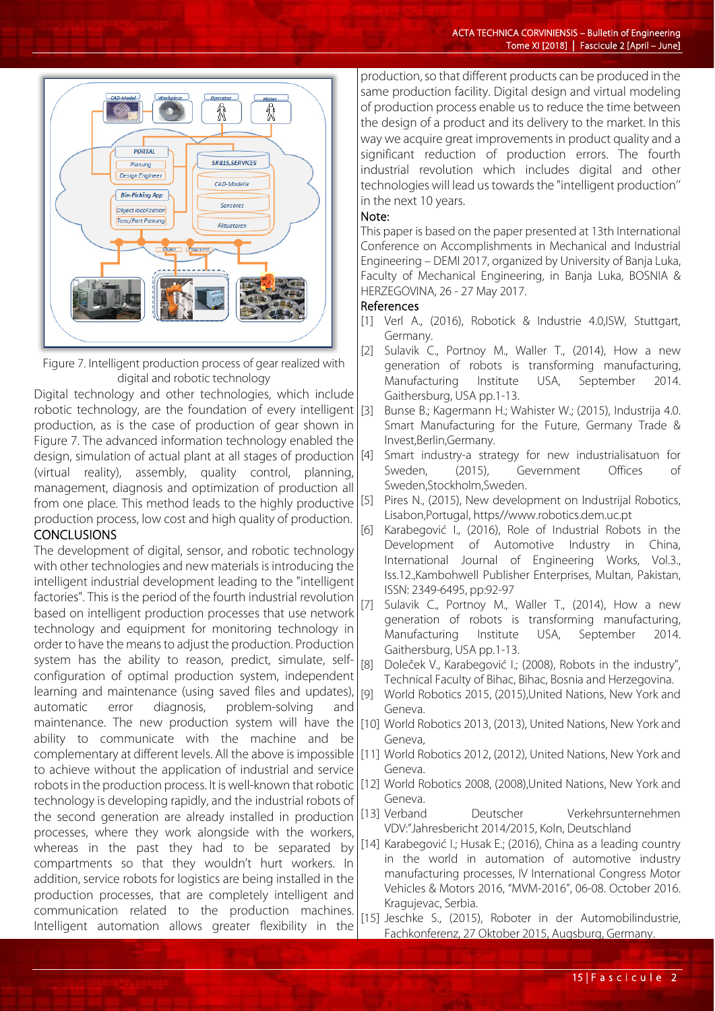

Figure 7. Intelligent production process of gear realized with digital and robotic technology

Digital technology and other technologies, which include robotic technology, are the foundation of every intelligent  $\left[3\right]$ production, as is the case of production of gear shown in Figure 7. The advanced information technology enabled the design, simulation of actual plant at all stages of production [4] (virtual reality), assembly, quality control, planning, management, diagnosis and optimization of production all from one place. This method leads to the highly productive production process, low cost and high quality of production. **CONCLUSIONS** 

The development of digital, sensor, and robotic technology with other technologies and new materials is introducing the intelligent industrial development leading to the "intelligent factories". This is the period of the fourth industrial revolution based on intelligent production processes that use network technology and equipment for monitoring technology in order to have the means to adjust the production. Production system has the ability to reason, predict, simulate, selfconfiguration of optimal production system, independent learning and maintenance (using saved files and updates), automatic error diagnosis, problem-solving and maintenance. The new production system will have the ability to communicate with the machine and be complementary at different levels. All the above is impossible to achieve without the application of industrial and service robots in the production process. It is well-known that robotic technology is developing rapidly, and the industrial robots of the second generation are already installed in production processes, where they work alongside with the workers, whereas in the past they had to be separated by compartments so that they wouldn't hurt workers. In addition, service robots for logistics are being installed in the production processes, that are completely intelligent and communication related to the production machines. Intelligent automation allows greater flexibility in the

production, so that different products can be produced in the same production facility. Digital design and virtual modeling of production process enable us to reduce the time between the design of a product and its delivery to the market. In this way we acquire great improvements in product quality and a significant reduction of production errors. The fourth industrial revolution which includes digital and other technologies will lead us towards the "intelligent production'' in the next 10 years.

#### Note:

This paper is based on the paper presented at 13th International Conference on Accomplishments in Mechanical and Industrial Engineering – DEMI 2017, organized by University of Banja Luka, Faculty of Mechanical Engineering, in Banja Luka, BOSNIA & HERZEGOVINA, 26 - 27 May 2017.

#### References

- [1] Verl A., (2016), Robotick & Industrie 4.0,ISW, Stuttgart, Germany.
- [2] Sulavik C., Portnoy M., Waller T., (2014), How a new generation of robots is transforming manufacturing, Manufacturing Institute USA, September 2014. Gaithersburg, USA pp.1-13.
- Bunse B.; Kagermann H.; Wahister W.; (2015), Industrija 4.0. Smart Manufacturing for the Future, Germany Trade & Invest,Berlin,Germany.
- Smart industry-a strategy for new industrialisatuon for Sweden, (2015), Gevernment Offices of Sweden,Stockholm,Sweden.
- [5] Pires N., (2015), New development on Industrijal Robotics, Lisabon,Portugal, https//www.robotics.dem.uc.pt
- [6] Karabegović I., (2016), Role of Industrial Robots in the Development of Automotive Industry in China, International Journal of Engineering Works, Vol.3., Iss.12.,Kambohwell Publisher Enterprises, Multan, Pakistan, ISSN: 2349-6495, pp:92-97
- [7] Sulavik C., Portnoy M., Waller T., (2014), How a new generation of robots is transforming manufacturing, Manufacturing Institute USA, September 2014. Gaithersburg, USA pp.1-13.
- [8] Doleček V., Karabegović I.; (2008), Robots in the industry", Technical Faculty of Bihac, Bihac, Bosnia and Herzegovina.
- [9] World Robotics 2015, (2015),United Nations, New York and Geneva.
- [10] World Robotics 2013, (2013), United Nations, New York and Geneva,
- [11] World Robotics 2012, (2012), United Nations, New York and Geneva.
- [12] World Robotics 2008, (2008),United Nations, New York and Geneva.<br>[13] Verband
- Deutscher Verkehrsunternehmen VDV:"Jahresbericht 2014/2015, Koln, Deutschland
- [14] Karabegović I.; Husak E.; (2016), China as a leading country in the world in automation of automotive industry manufacturing processes, IV International Congress Motor Vehicles & Motors 2016, "MVM-2016", 06-08. October 2016. Kragujevac, Serbia.
- [15] Jeschke S., (2015), Roboter in der Automobilindustrie, Fachkonferenz, 27 Oktober 2015, Augsburg, Germany.